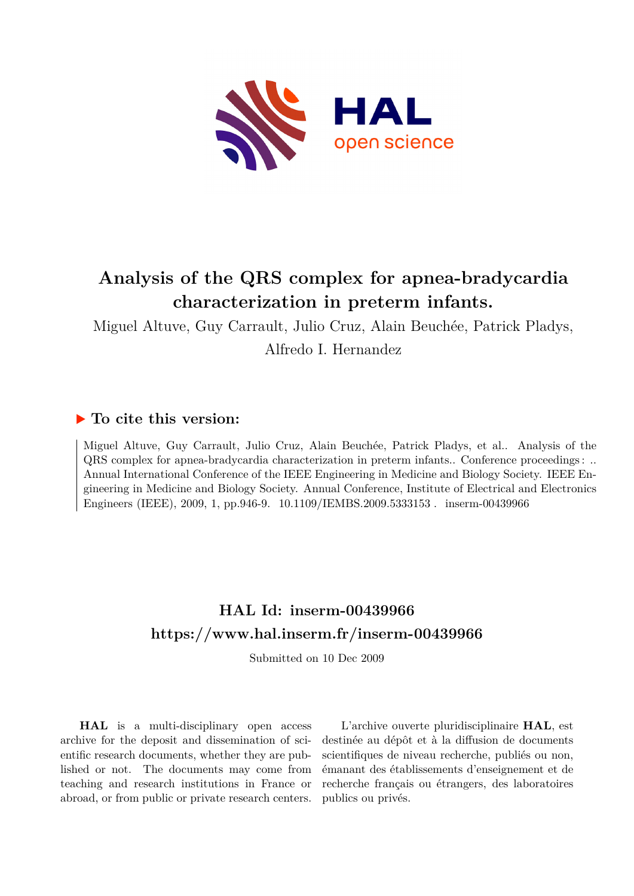

# **Analysis of the QRS complex for apnea-bradycardia characterization in preterm infants.**

Miguel Altuve, Guy Carrault, Julio Cruz, Alain Beuchée, Patrick Pladys, Alfredo I. Hernandez

### **To cite this version:**

Miguel Altuve, Guy Carrault, Julio Cruz, Alain Beuchée, Patrick Pladys, et al.. Analysis of the QRS complex for apnea-bradycardia characterization in preterm infants.. Conference proceedings : .. Annual International Conference of the IEEE Engineering in Medicine and Biology Society. IEEE Engineering in Medicine and Biology Society. Annual Conference, Institute of Electrical and Electronics Engineers (IEEE), 2009, 1, pp.946-9. 10.1109/IEMBS.2009.5333153. inserm-00439966

## **HAL Id: inserm-00439966 <https://www.hal.inserm.fr/inserm-00439966>**

Submitted on 10 Dec 2009

**HAL** is a multi-disciplinary open access archive for the deposit and dissemination of scientific research documents, whether they are published or not. The documents may come from teaching and research institutions in France or abroad, or from public or private research centers.

L'archive ouverte pluridisciplinaire **HAL**, est destinée au dépôt et à la diffusion de documents scientifiques de niveau recherche, publiés ou non, émanant des établissements d'enseignement et de recherche français ou étrangers, des laboratoires publics ou privés.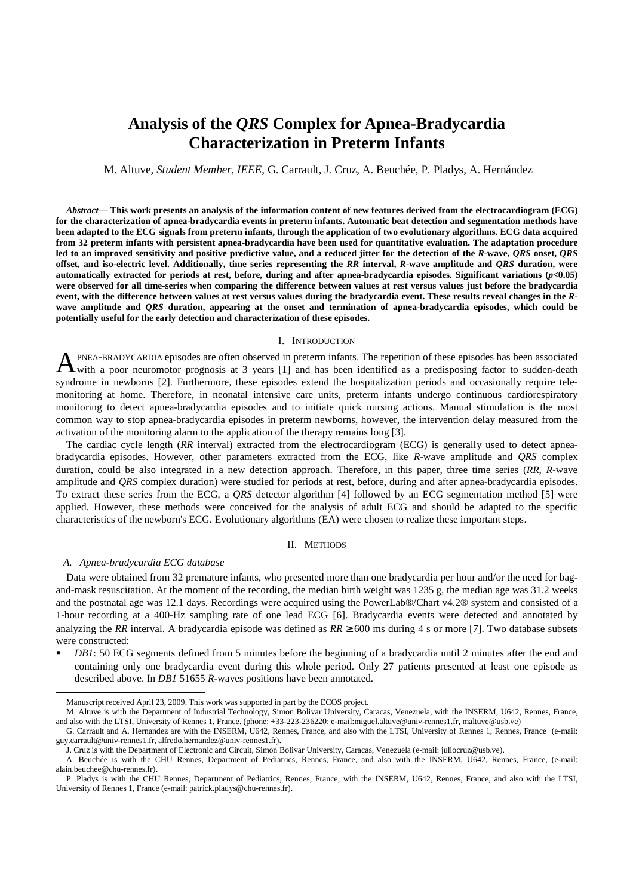## **Analysis of the** *QRS* **Complex for Apnea-Bradycardia Characterization in Preterm Infants**

M. Altuve, *Student Member, IEEE*, G. Carrault, J. Cruz, A. Beuchée, P. Pladys, A. Hernández

*Abstract***— This work presents an analysis of the information content of new features derived from the electrocardiogram (ECG) for the characterization of apnea-bradycardia events in preterm infants. Automatic beat detection and segmentation methods have been adapted to the ECG signals from preterm infants, through the application of two evolutionary algorithms. ECG data acquired from 32 preterm infants with persistent apnea-bradycardia have been used for quantitative evaluation. The adaptation procedure led to an improved sensitivity and positive predictive value, and a reduced jitter for the detection of the** *R***-wave,** *QRS* **onset,** *QRS* **offset, and iso-electric level. Additionally, time series representing the** *RR* **interval,** *R***-wave amplitude and** *QRS* **duration, were automatically extracted for periods at rest, before, during and after apnea-bradycardia episodes. Significant variations (***p***<0.05) were observed for all time-series when comparing the difference between values at rest versus values just before the bradycardia event, with the difference between values at rest versus values during the bradycardia event. These results reveal changes in the** *R***wave amplitude and** *QRS* **duration, appearing at the onset and termination of apnea-bradycardia episodes, which could be potentially useful for the early detection and characterization of these episodes.** 

#### I. INTRODUCTION

PNEA-BRADYCARDIA episodes are often observed in preterm infants. The repetition of these episodes has been associated with a poor neuromotor prognosis at 3 years [1] and has been identified as a predisposing factor to sudden-death syndrome in newborns [2]. Furthermore, these episodes extend the hospitalization periods and occasionally require telemonitoring at home. Therefore, in neonatal intensive care units, preterm infants undergo continuous cardiorespiratory monitoring to detect apnea-bradycardia episodes and to initiate quick nursing actions. Manual stimulation is the most common way to stop apnea-bradycardia episodes in preterm newborns, however, the intervention delay measured from the activation of the monitoring alarm to the application of the therapy remains long [3]. A

The cardiac cycle length (*RR* interval) extracted from the electrocardiogram (ECG) is generally used to detect apneabradycardia episodes. However, other parameters extracted from the ECG, like *R*-wave amplitude and *QRS* complex duration, could be also integrated in a new detection approach. Therefore, in this paper, three time series (*RR*, *R*-wave amplitude and *QRS* complex duration) were studied for periods at rest, before, during and after apnea-bradycardia episodes. To extract these series from the ECG, a *QRS* detector algorithm [4] followed by an ECG segmentation method [5] were applied. However, these methods were conceived for the analysis of adult ECG and should be adapted to the specific characteristics of the newborn's ECG. Evolutionary algorithms (EA) were chosen to realize these important steps.

#### II. METHODS

#### *A. Apnea-bradycardia ECG database*

 $\overline{a}$ 

Data were obtained from 32 premature infants, who presented more than one bradycardia per hour and/or the need for bagand-mask resuscitation. At the moment of the recording, the median birth weight was 1235 g, the median age was 31.2 weeks and the postnatal age was 12.1 days. Recordings were acquired using the PowerLab®/Chart v4.2® system and consisted of a 1-hour recording at a 400-Hz sampling rate of one lead ECG [6]. Bradycardia events were detected and annotated by analyzing the *RR* interval. A bradycardia episode was defined as  $RR \ge 600$  ms during 4 s or more [7]. Two database subsets were constructed:

 *DB1*: 50 ECG segments defined from 5 minutes before the beginning of a bradycardia until 2 minutes after the end and containing only one bradycardia event during this whole period. Only 27 patients presented at least one episode as described above. In *DB1* 51655 *R*-waves positions have been annotated.

Manuscript received April 23, 2009. This work was supported in part by the ECOS project.

M. Altuve is with the Department of Industrial Technology, Simon Bolivar University, Caracas, Venezuela, with the INSERM, U642, Rennes, France, and also with the LTSI, University of Rennes 1, France. (phone: +33-223-236220; e-mail:miguel.altuve@univ-rennes1.fr, maltuve@usb.ve)

G. Carrault and A. Hernandez are with the INSERM, U642, Rennes, France, and also with the LTSI, University of Rennes 1, Rennes, France (e-mail: guy.carrault@univ-rennes1.fr, alfredo.hernandez@univ-rennes1.fr).

J. Cruz is with the Department of Electronic and Circuit, Simon Bolivar University, Caracas, Venezuela (e-mail: juliocruz@usb.ve).

A. Beuchée is with the CHU Rennes, Department of Pediatrics, Rennes, France, and also with the INSERM, U642, Rennes, France, (e-mail: alain.beuchee@chu-rennes.fr).

P. Pladys is with the CHU Rennes, Department of Pediatrics, Rennes, France, with the INSERM, U642, Rennes, France, and also with the LTSI, University of Rennes 1, France (e-mail: patrick.pladys@chu-rennes.fr).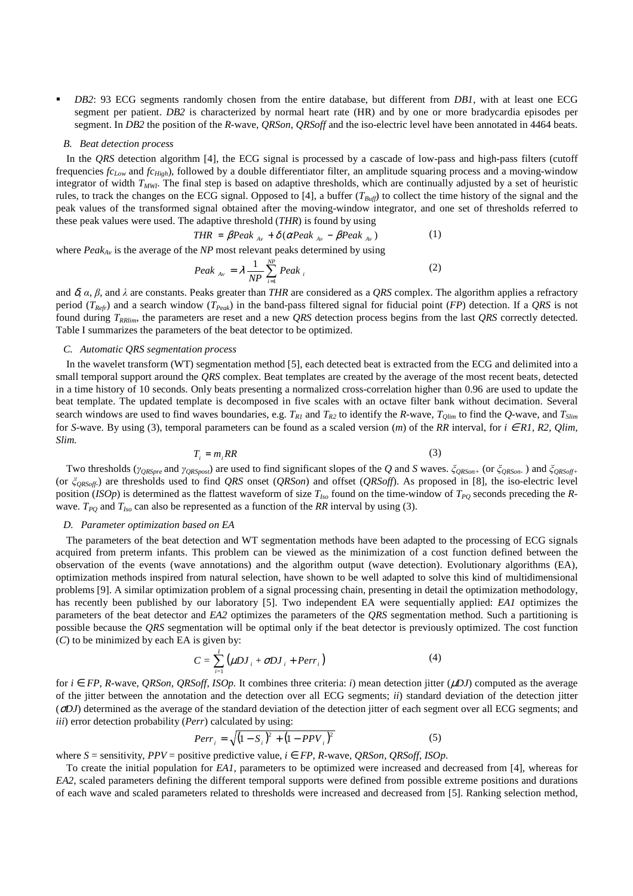*DB2*: 93 ECG segments randomly chosen from the entire database, but different from *DB1*, with at least one ECG segment per patient. *DB2* is characterized by normal heart rate (HR) and by one or more bradycardia episodes per segment. In *DB2* the position of the *R-*wave, *QRSon*, *QRSoff* and the iso-electric level have been annotated in 4464 beats.

#### *B. Beat detection process*

In the *ORS* detection algorithm [4], the ECG signal is processed by a cascade of low-pass and high-pass filters (cutoff frequencies *fcLow* and *fcHigh*), followed by a double differentiator filter, an amplitude squaring process and a moving-window integrator of width *TMWI*. The final step is based on adaptive thresholds, which are continually adjusted by a set of heuristic rules, to track the changes on the ECG signal. Opposed to [4], a buffer ( $T_{\text{Buff}}$ ) to collect the time history of the signal and the peak values of the transformed signal obtained after the moving-window integrator, and one set of thresholds referred to these peak values were used. The adaptive threshold (*THR*) is found by using

$$
THR = \beta Peak_{A_v} + \delta(\alpha Peak_{A_v} - \beta Peak_{A_v})
$$
 (1)

where *PeakAv* is the average of the *NP* most relevant peaks determined by using

$$
Peak_{Av} = \lambda \frac{1}{NP} \sum_{i=1}^{NP} Peak_i
$$
 (2)

and  $\delta$ ,  $\alpha$ ,  $\beta$ , and  $\lambda$  are constants. Peaks greater than *THR* are considered as a *QRS* complex. The algorithm applies a refractory period (*TRefr*) and a search window (*TPeak*) in the band-pass filtered signal for fiducial point (*FP*) detection. If a *QRS* is not found during *TRRlim*, the parameters are reset and a new *QRS* detection process begins from the last *QRS* correctly detected. Table I summarizes the parameters of the beat detector to be optimized.

#### *C. Automatic QRS segmentation process*

In the wavelet transform (WT) segmentation method [5], each detected beat is extracted from the ECG and delimited into a small temporal support around the *QRS* complex. Beat templates are created by the average of the most recent beats, detected in a time history of 10 seconds. Only beats presenting a normalized cross-correlation higher than 0.96 are used to update the beat template. The updated template is decomposed in five scales with an octave filter bank without decimation. Several search windows are used to find waves boundaries, e.g.  $T_{R1}$  and  $T_{R2}$  to identify the *R*-wave,  $T_{Olim}$  to find the *Q*-wave, and  $T_{Slim}$ for *S*-wave. By using (3), temporal parameters can be found as a scaled version  $(m)$  of the *RR* interval, for  $i \in R1$ , *R2*, *Olim*, *Slim.*

$$
T_i = m_iRR \tag{3}
$$

Two thresholds (*γQRSpre* and *γQRSpost*) are used to find significant slopes of the *Q* and *S* waves. *ξQRSon+* (or *ξQRSon-* ) and *ξQRSoff+* (or *ξQRSoff-*) are thresholds used to find *QRS* onset (*QRSon*) and offset (*QRSoff*). As proposed in [8], the iso-electric level position (*ISOp*) is determined as the flattest waveform of size  $T_{Iso}$  found on the time-window of  $T_{PQ}$  seconds preceding the *R*wave.  $T_{PQ}$  and  $T_{Iso}$  can also be represented as a function of the RR interval by using (3).

#### *D. Parameter optimization based on EA*

The parameters of the beat detection and WT segmentation methods have been adapted to the processing of ECG signals acquired from preterm infants. This problem can be viewed as the minimization of a cost function defined between the observation of the events (wave annotations) and the algorithm output (wave detection). Evolutionary algorithms (EA), optimization methods inspired from natural selection, have shown to be well adapted to solve this kind of multidimensional problems [9]. A similar optimization problem of a signal processing chain, presenting in detail the optimization methodology, has recently been published by our laboratory [5]. Two independent EA were sequentially applied: *EA1* optimizes the parameters of the beat detector and *EA2* optimizes the parameters of the *QRS* segmentation method. Such a partitioning is possible because the *QRS* segmentation will be optimal only if the beat detector is previously optimized. The cost function (*C*) to be minimized by each EA is given by:

$$
C = \sum_{i=1}^{I} (\mu D J_i + \sigma D J_i + Perr_i)
$$
 (4)

for  $i \in FP$ , *R*-wave, *QRSon*, *QRSoff*, *ISOp*. It combines three criteria: *i*) mean detection jitter ( $\mu$ *DJ*) computed as the average of the jitter between the annotation and the detection over all ECG segments; *ii*) standard deviation of the detection jitter (σ*DJ*) determined as the average of the standard deviation of the detection jitter of each segment over all ECG segments; and *iii*) error detection probability (*Perr*) calculated by using:

$$
Perr_i = \sqrt{(1 - S_i)^2 + (1 - PPV_i)^2}
$$
 (5)

where  $S =$  sensitivity,  $PPV =$  positive predictive value,  $i \in FP$ , *R*-wave, *ORSon*, *ORSoff*, *ISOp*.

To create the initial population for *EA1*, parameters to be optimized were increased and decreased from [4], whereas for *EA2*, scaled parameters defining the different temporal supports were defined from possible extreme positions and durations of each wave and scaled parameters related to thresholds were increased and decreased from [5]. Ranking selection method,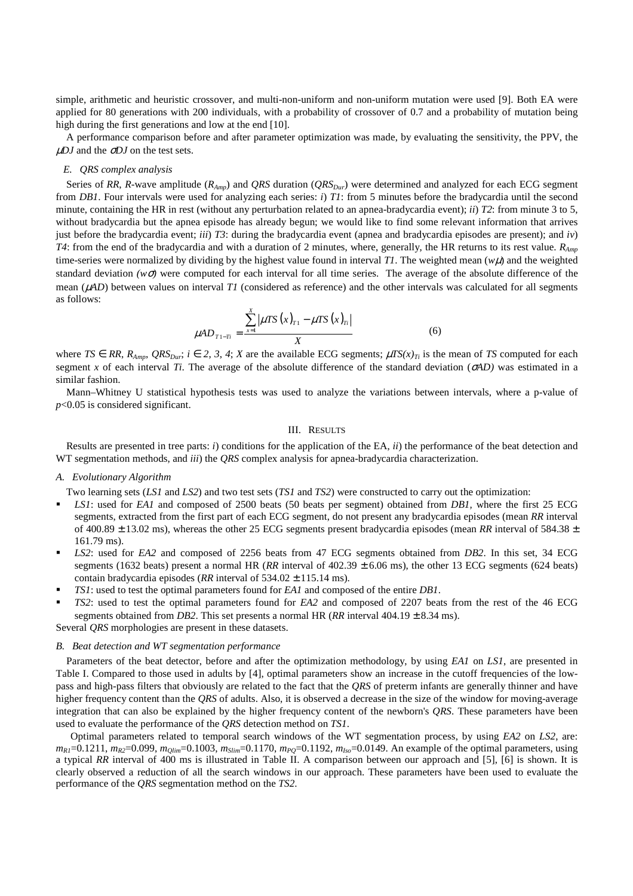simple, arithmetic and heuristic crossover, and multi-non-uniform and non-uniform mutation were used [9]. Both EA were applied for 80 generations with 200 individuals, with a probability of crossover of 0.7 and a probability of mutation being high during the first generations and low at the end [10].

A performance comparison before and after parameter optimization was made, by evaluating the sensitivity, the PPV, the µ*DJ* and the σ*DJ* on the test sets.

#### *E. QRS complex analysis*

Series of *RR*, *R*-wave amplitude (*RAmp*) and *QRS* duration (*QRSDur*) were determined and analyzed for each ECG segment from *DB1*. Four intervals were used for analyzing each series: *i*) *T1*: from 5 minutes before the bradycardia until the second minute, containing the HR in rest (without any perturbation related to an apnea-bradycardia event); *ii*) *T2*: from minute 3 to 5, without bradycardia but the apnea episode has already begun; we would like to find some relevant information that arrives just before the bradycardia event; *iii*) *T3*: during the bradycardia event (apnea and bradycardia episodes are present); and *iv*) *T4*: from the end of the bradycardia and with a duration of 2 minutes, where, generally, the HR returns to its rest value. *RAmp* time-series were normalized by dividing by the highest value found in interval *T1*. The weighted mean  $(w\mu)$  and the weighted standard deviation  $(w\sigma)$  were computed for each interval for all time series. The average of the absolute difference of the mean ( $\mu$ *AD*) between values on interval *T1* (considered as reference) and the other intervals was calculated for all segments as follows:

$$
\mu AD_{T1-Ti} = \frac{\sum_{x=1}^{X} |\mu TS(x)_{T1} - \mu TS(x)_{Ti}|}{X}
$$
 (6)

where  $TS \in RR$ ,  $R_{Amp}$ ,  $QRS_{Dur}$ ;  $i \in 2, 3, 4$ ;  $X$  are the available ECG segments;  $\mu TS(x)_{Ti}$  is the mean of *TS* computed for each segment *x* of each interval *Ti*. The average of the absolute difference of the standard deviation ( $\sigma$ *AD*) was estimated in a similar fashion.

Mann–Whitney U statistical hypothesis tests was used to analyze the variations between intervals, where a p-value of *p*<0.05 is considered significant.

#### III. RESULTS

Results are presented in tree parts: *i*) conditions for the application of the EA, *ii*) the performance of the beat detection and WT segmentation methods, and *iii*) the *QRS* complex analysis for apnea-bradycardia characterization.

#### *A. Evolutionary Algorithm*

Two learning sets (*LS1* and *LS2*) and two test sets (*TS1* and *TS2*) were constructed to carry out the optimization:

- *LS1*: used for *EA1* and composed of 2500 beats (50 beats per segment) obtained from *DB1,* where the first 25 ECG segments, extracted from the first part of each ECG segment, do not present any bradycardia episodes (mean *RR* interval of 400.89 ± 13.02 ms), whereas the other 25 ECG segments present bradycardia episodes (mean *RR* interval of 584.38 ± 161.79 ms).
- *LS2*: used for *EA2* and composed of 2256 beats from 47 ECG segments obtained from *DB2*. In this set, 34 ECG segments (1632 beats) present a normal HR (*RR* interval of  $402.39 \pm 6.06$  ms), the other 13 ECG segments (624 beats) contain bradycardia episodes ( $RR$  interval of  $534.02 \pm 115.14$  ms).
- *TS1*: used to test the optimal parameters found for *EA1* and composed of the entire *DB1*.
- *TS2*: used to test the optimal parameters found for *EA2* and composed of 2207 beats from the rest of the 46 ECG segments obtained from *DB2*. This set presents a normal HR (*RR* interval  $404.19 \pm 8.34$  ms).

Several *QRS* morphologies are present in these datasets.

#### *B. Beat detection and WT segmentation performance*

Parameters of the beat detector, before and after the optimization methodology, by using *EA1* on *LS1*, are presented in Table I. Compared to those used in adults by [4], optimal parameters show an increase in the cutoff frequencies of the lowpass and high-pass filters that obviously are related to the fact that the *QRS* of preterm infants are generally thinner and have higher frequency content than the *QRS* of adults. Also, it is observed a decrease in the size of the window for moving-average integration that can also be explained by the higher frequency content of the newborn's *QRS*. These parameters have been used to evaluate the performance of the *QRS* detection method on *TS1*.

Optimal parameters related to temporal search windows of the WT segmentation process, by using *EA2* on *LS2*, are:  $m_{RI}$ =0.1211,  $m_{R2}$ =0.099,  $m_{Olim}$ =0.1003,  $m_{Slim}$ =0.1170,  $m_{PO}$ =0.1192,  $m_{Iso}$ =0.0149. An example of the optimal parameters, using a typical *RR* interval of 400 ms is illustrated in Table II. A comparison between our approach and [5], [6] is shown. It is clearly observed a reduction of all the search windows in our approach. These parameters have been used to evaluate the performance of the *QRS* segmentation method on the *TS2*.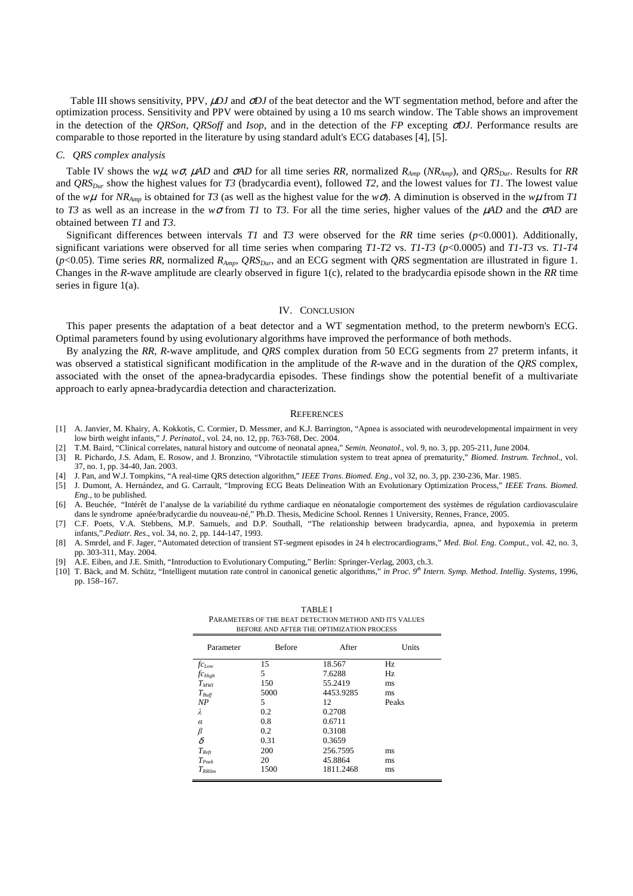Table III shows sensitivity, PPV, µ*DJ* and σ*DJ* of the beat detector and the WT segmentation method, before and after the optimization process. Sensitivity and PPV were obtained by using a 10 ms search window. The Table shows an improvement in the detection of the *QRSon*, *QRSoff* and *Isop*, and in the detection of the *FP* excepting σ*DJ*. Performance results are comparable to those reported in the literature by using standard adult's ECG databases [4], [5].

#### *C. QRS complex analysis*

Table IV shows the *wµ*, *w*σ,  $\mu AD$  and  $\sigma AD$  for all time series *RR*, normalized  $R_{Amp}$  (*NR<sub>Amp</sub>*), and QRS<sub>Dur</sub>. Results for *RR* and *QRSDur* show the highest values for *T3* (bradycardia event), followed *T2*, and the lowest values for *T1*. The lowest value of the  $w\mu$  for *NR*<sub>*Amp*</sub> is obtained for *T3* (as well as the highest value for the  $w\sigma$ ). A diminution is observed in the  $w\mu$  from *T1* to *T3* as well as an increase in the  $w\sigma$  from *T1* to *T3*. For all the time series, higher values of the  $\muAD$  and the  $\sigmaAD$  are obtained between *T1* and *T3*.

Significant differences between intervals *T1* and *T3* were observed for the *RR* time series (*p*<0.0001). Additionally, significant variations were observed for all time series when comparing *T1*-*T2* vs. *T1*-*T3* (*p*<0.0005) and *T1*-*T3* vs. *T1*-*T4*  ( $p$ <0.05). Time series RR, normalized  $R_{Amp}$ ,  $QRS_{Dur}$ , and an ECG segment with *QRS* segmentation are illustrated in figure 1. Changes in the *R*-wave amplitude are clearly observed in figure 1(c), related to the bradycardia episode shown in the *RR* time series in figure 1(a).

#### IV. CONCLUSION

This paper presents the adaptation of a beat detector and a WT segmentation method, to the preterm newborn's ECG. Optimal parameters found by using evolutionary algorithms have improved the performance of both methods.

By analyzing the *RR*, *R*-wave amplitude, and *QRS* complex duration from 50 ECG segments from 27 preterm infants, it was observed a statistical significant modification in the amplitude of the *R*-wave and in the duration of the *QRS* complex, associated with the onset of the apnea-bradycardia episodes. These findings show the potential benefit of a multivariate approach to early apnea-bradycardia detection and characterization.

#### **REFERENCES**

- [1] A. Janvier, M. Khairy, A. Kokkotis, C. Cormier, D. Messmer, and K.J. Barrington, "Apnea is associated with neurodevelopmental impairment in very low birth weight infants," *J. Perinatol.*, vol. 24, no. 12, pp. 763-768, Dec. 2004.
- [2] T.M. Baird, "Clinical correlates, natural history and outcome of neonatal apnea," *Semin. Neonatol.,* vol. 9, no. 3, pp. 205-211, June 2004.
- [3] R. Pichardo, J.S. Adam, E. Rosow, and J. Bronzino, "Vibrotactile stimulation system to treat apnea of prematurity," *Biomed. Instrum. Technol.,* vol. 37, no. 1, pp. 34-40, Jan. 2003.
- [4] J. Pan, and W.J. Tompkins, "A real-time QRS detection algorithm," *IEEE Trans. Biomed. Eng.*, vol 32, no. 3, pp. 230-236, Mar. 1985.
- [5] J. Dumont, A. Hernández, and G. Carrault, "Improving ECG Beats Delineation With an Evolutionary Optimization Process," *IEEE Trans. Biomed. Eng.*, to be published.
- [6] A. Beuchée, "Intérêt de l'analyse de la variabilité du rythme cardiaque en néonatalogie comportement des systèmes de régulation cardiovasculaire dans le syndrome apnée/bradycardie du nouveau-né," Ph.D. Thesis, Medicine School. Rennes 1 University, Rennes, France, 2005.
- [7] C.F. Poets, V.A. Stebbens, M.P. Samuels, and D.P. Southall, "The relationship between bradycardia, apnea, and hypoxemia in preterm infants,".*Pediatr. Res*., vol. 34, no. 2, pp. 144-147, 1993.
- [8] A. Smrdel, and F. Jager, "Automated detection of transient ST-segment episodes in 24 h electrocardiograms," *Med. Biol. Eng. Comput.*, vol. 42, no. 3, pp. 303-311, May. 2004.
- [9] A.E. Eiben, and J.E. Smith, "Introduction to Evolutionary Computing," Berlin: Springer-Verlag, 2003, ch.3.
- [10] T. Bäck, and M. Schütz, "Intelligent mutation rate control in canonical genetic algorithms," *in Proc. 9th Intern. Symp. Method. Intellig. Systems,* 1996, pp. 158–167.

TABLE I

| PARAMETERS OF THE BEAT DETECTION METHOD AND ITS VALUES<br>BEFORE AND AFTER THE OPTIMIZATION PROCESS |               |           |       |  |
|-----------------------------------------------------------------------------------------------------|---------------|-----------|-------|--|
| Parameter                                                                                           | <b>Before</b> | After     | Units |  |
| $fc_{Low}$                                                                                          | 15            | 18.567    | Hz    |  |
| $f_{CHigh}$                                                                                         | 5             | 7.6288    | Hz    |  |
| $T_{MWI}$                                                                                           | 150           | 55.2419   | ms    |  |
| $T_{\text{Buff}}$                                                                                   | 5000          | 4453.9285 | ms    |  |
| NP                                                                                                  | 5             | 12        | Peaks |  |
| λ                                                                                                   | 0.2           | 0.2708    |       |  |
| $\alpha$                                                                                            | 0.8           | 0.6711    |       |  |
| β                                                                                                   | 0.2           | 0.3108    |       |  |
| $\delta$                                                                                            | 0.31          | 0.3659    |       |  |
| $T_{Refr}$                                                                                          | 200           | 256.7595  | ms    |  |
| $T_{Peak}$                                                                                          | 20            | 45.8864   | ms    |  |
| $T_{R}$ Rlim                                                                                        | 1500          | 1811.2468 | ms    |  |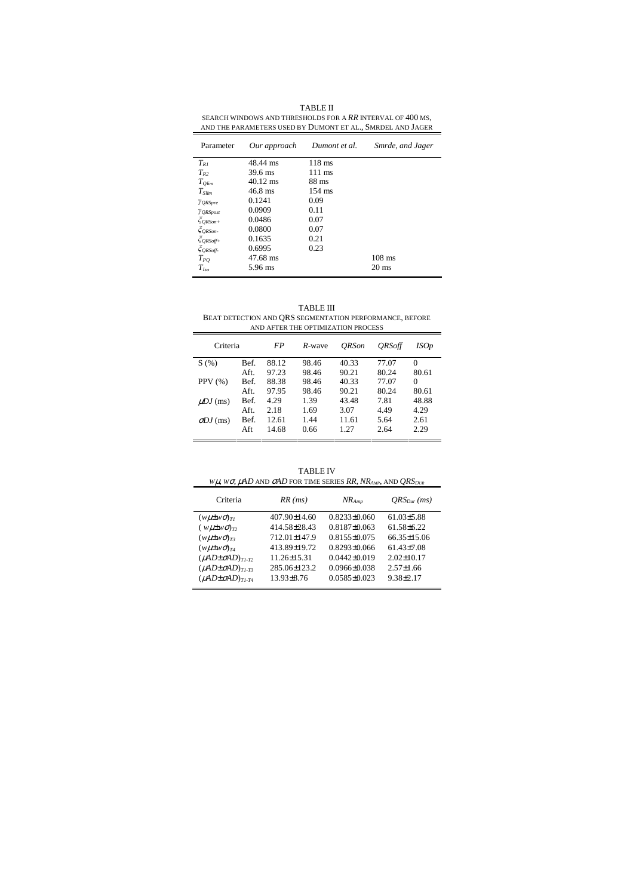| <b>TABLE II</b>                                            |
|------------------------------------------------------------|
| SEARCH WINDOWS AND THRESHOLDS FOR A RR INTERVAL OF 400 MS. |
| AND THE PARAMETERS USED BY DUMONT ET AL SMRDEL AND JAGER   |

| Parameter                       | Our approach       | Dumont et al.    | Smrde, and Jager |
|---------------------------------|--------------------|------------------|------------------|
| $T_{RI}$                        | 48.44 ms           | $118$ ms         |                  |
| $T_{R2}$                        | 39.6 ms            | $111 \text{ ms}$ |                  |
| $T_{Qlim}$                      | $40.12 \text{ ms}$ | $88 \text{ ms}$  |                  |
| $T_{\text{Slim}}$               | 46.8 ms            | $154$ ms         |                  |
| <i>YORSpre</i>                  | 0.1241             | 0.09             |                  |
| <b>YORSpost</b>                 | 0.0909             | 0.11             |                  |
| $\breve{\zeta}$ QRSon+          | 0.0486             | 0.07             |                  |
| $\zeta_{QRSon}$                 | 0.0800             | 0.07             |                  |
| $\xi_{\textit{QRSoff}\text{+}}$ | 0.1635             | 0.21             |                  |
| $\zeta_{ORSoft}$                | 0.6995             | 0.23             |                  |
| $T_{PO}$                        | 47.68 ms           |                  | $108$ ms         |
| $T_{Iso}$                       | 5.96 ms            |                  | $20 \text{ ms}$  |

TABLE III BEAT DETECTION AND QRS SEGMENTATION PERFORMANCE, BEFORE AND AFTER THE OPTIMIZATION PROCESS

| Criteria         |      | FP    | R-wave | <b>ORSon</b> | <i><b>ORSoff</b></i> | <i>ISOp</i> |
|------------------|------|-------|--------|--------------|----------------------|-------------|
| S(%)             | Bef. | 88.12 | 98.46  | 40.33        | 77.07                | 0           |
|                  | Aft. | 97.23 | 98.46  | 90.21        | 80.24                | 80.61       |
| PPV(%)           | Bef. | 88.38 | 98.46  | 40.33        | 77.07                | 0           |
|                  | Aft. | 97.95 | 98.46  | 90.21        | 80.24                | 80.61       |
| $\mu DJ$ (ms)    | Bef. | 4.29  | 1.39   | 43.48        | 7.81                 | 48.88       |
|                  | Aft. | 2.18  | 1.69   | 3.07         | 4.49                 | 4.29        |
| $\sigma DJ$ (ms) | Bef. | 12.61 | 1.44   | 11.61        | 5.64                 | 2.61        |
|                  | Aft  | 14.68 | 0.66   | 1.27         | 2.64                 | 2.29        |
|                  |      |       |        |              |                      |             |

TABLE IV *W*µ*, Wσ*,  $\mu$ *AD* AND *σAD* FOR TIME SERIES *RR*,  $NR_{\text{AMP}}$ , AND  $QRS_{\text{DW}}$ 

| Criteria                       | $RR$ (ms)         | $NR_{Amn}$       | $ORS_{Dur}(ms)$   |
|--------------------------------|-------------------|------------------|-------------------|
| $(w\mu\pm w\sigma)_{TI}$       | 407.90±14.60      | $0.8233\pm0.060$ | $61.03\pm5.88$    |
| $(w\mu\pm w\sigma)_{T2}$       | 414.58 ± 28.43    | $0.8187\pm0.063$ | $61.58 \pm 6.22$  |
| $(w\mu \pm w\sigma)_{T3}$      | 712.01±147.9      | $0.8155\pm0.075$ | $66.35 \pm 15.06$ |
| $(w\mu \pm w\sigma)_{T4}$      | 413.89±19.72      | $0.8293\pm0.066$ | $61.43\pm7.08$    |
| $(\mu AD\pm\sigma AD)_{T1-T2}$ | $11.26 \pm 15.31$ | $0.0442\pm0.019$ | $2.02 \pm 10.17$  |
| $(\mu AD\pm\sigma AD)_{T1-T3}$ | 285.06±123.2      | $0.0966\pm0.038$ | $2.57 \pm 1.66$   |
| $(\mu AD\pm\sigma AD)_{TLTA}$  | $13.93\pm8.76$    | $0.0585\pm0.023$ | $9.38 \pm 2.17$   |